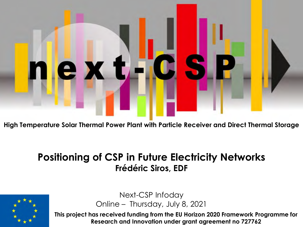# le x t n I

**High Temperature Solar Thermal Power Plant with Particle Receiver and Direct Thermal Storage**

#### **Positioning of CSP in Future Electricity Networks Frédéric Siros, EDF**



Next-CSP Infoday Online – Thursday, July 8, 2021

**This project has received funding from the EU Horizon 2020 Framework Programme for Research and Innovation under grant agreement no 727762**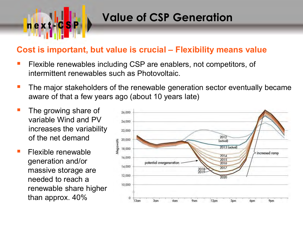

#### **Value of CSP Generation**

#### **Cost is important, but value is crucial – Flexibility means value**

- Flexible renewables including CSP are enablers, not competitors, of intermittent renewables such as Photovoltaic.
- The major stakeholders of the renewable generation sector eventually became aware of that a few years ago (about 10 years late)
- The growing share of variable Wind and PV increases the variability of the net demand
- Flexible renewable generation and/or massive storage are needed to reach a renewable share higher than approx. 40%

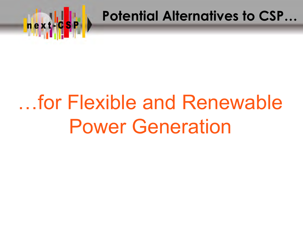

**Potential Alternatives to CSP…**

### …for Flexible and Renewable Power Generation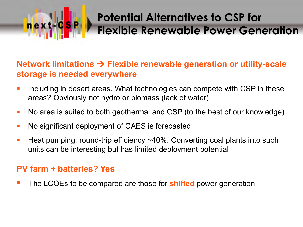#### **Potential Alternatives to CSP for Flexible Renewable Power Generation**

#### **Network limitations Flexible renewable generation or utility-scale storage is needed everywhere**

- I lincluding in desert areas. What technologies can compete with CSP in these areas? Obviously not hydro or biomass (lack of water)
- No area is suited to both geothermal and CSP (to the best of our knowledge)
- No significant deployment of CAES is forecasted
- Heat pumping: round-trip efficiency  $\sim$ 40%. Converting coal plants into such units can be interesting but has limited deployment potential

#### **PV farm + batteries? Yes**

next

The LCOEs to be compared are those for **shifted** power generation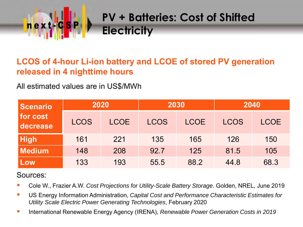

#### **LCOS of 4-hour Li-ion battery and LCOE of stored PV generation released in 4 nighttime hours**

All estimated values are in US\$/MWh

| Scenario             | 2020        |             | 2030        |             | 2040        |             |  |
|----------------------|-------------|-------------|-------------|-------------|-------------|-------------|--|
| for cost<br>decrease | <b>LCOS</b> | <b>LCOE</b> | <b>LCOS</b> | <b>LCOE</b> | <b>LCOS</b> | <b>LCOE</b> |  |
| <b>High</b>          | 161         | 221         | 135         | 165         | 126         | 150         |  |
| <b>Medium</b>        | 148         | 208         | 92.7        | 125         | 81.5        | 105         |  |
| Low                  | 133         | 193         | 55.5        | 88.2        | 44.8        | 68.3        |  |

#### Sources:

- Cole W., Frazier A.W. *Cost Projections for Utility-Scale Battery Storage*. Golden, NREL, June 2019
- US Energy Information Administration, *Capital Cost and Performance Characteristic Estimates for Utility Scale Electric Power Generating Technologies*, February 2020
- International Renewable Energy Agency (IRENA), *Renewable Power Generation Costs in 2019*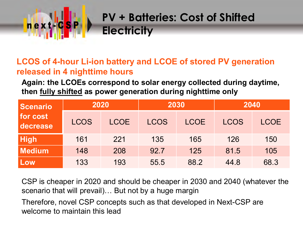

#### **LCOS of 4-hour Li-ion battery and LCOE of stored PV generation released in 4 nighttime hours**

**Again: the LCOEs correspond to solar energy collected during daytime, then fully shifted as power generation during nighttime only**

| <b>Scenario</b>      | 2020        |             | 2030        |             | 2040        |             |  |
|----------------------|-------------|-------------|-------------|-------------|-------------|-------------|--|
| for cost<br>decrease | <b>LCOS</b> | <b>LCOE</b> | <b>LCOS</b> | <b>LCOE</b> | <b>LCOS</b> | <b>LCOE</b> |  |
| <b>High</b>          | 161         | 221         | 135         | 165         | 126         | 150         |  |
| <b>Medium</b>        | 148         | 208         | 92.7        | 125         | 81.5        | 105         |  |
| Low                  | 133         | 193         | 55.5        | 88.2        | 44.8        | 68.3        |  |

CSP is cheaper in 2020 and should be cheaper in 2030 and 2040 (whatever the scenario that will prevail)… But not by a huge margin

Therefore, novel CSP concepts such as that developed in Next-CSP are welcome to maintain this lead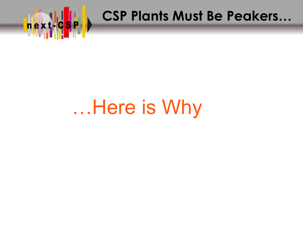

**CSP Plants Must Be Peakers…**<br>Lexy C<mark>sp</mark> Lexy CSP Plants Must Be Peakers…

### …Here is Why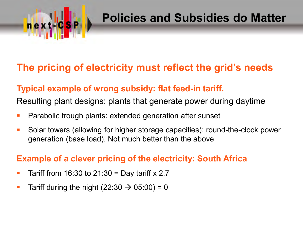

#### **Policies and Subsidies do Matter**

#### **The pricing of electricity must reflect the grid's needs**

#### **Typical example of wrong subsidy: flat feed-in tariff.**

Resulting plant designs: plants that generate power during daytime

- **Parabolic trough plants: extended generation after sunset**
- Solar towers (allowing for higher storage capacities): round-the-clock power generation (base load). Not much better than the above

#### **Example of a clever pricing of the electricity: South Africa**

- Tariff from 16:30 to 21:30 = Day tariff  $x$  2.7
- Tariff during the night (22:30  $\rightarrow$  05:00) = 0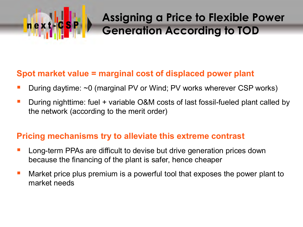

#### **Assigning a Price to Flexible Power Generation According to TOD**

#### **Spot market value = marginal cost of displaced power plant**

- During daytime: ~0 (marginal PV or Wind; PV works wherever CSP works)
- During nighttime: fuel + variable O&M costs of last fossil-fueled plant called by the network (according to the merit order)

#### **Pricing mechanisms try to alleviate this extreme contrast**

- **Long-term PPAs are difficult to devise but drive generation prices down** because the financing of the plant is safer, hence cheaper
- **Market price plus premium is a powerful tool that exposes the power plant to** market needs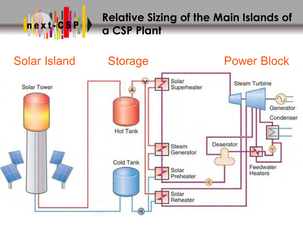

#### **Relative Sizing of the Main Islands of a CSP Plant**

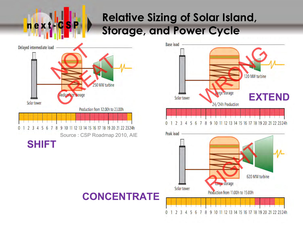#### **Relative Sizing of Solar Island, Storage, and Power Cycle**



next

ш

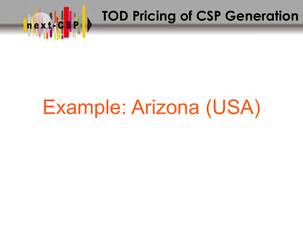

# **Top X TOD Pricing of CSP Generation**

### Example: Arizona (USA)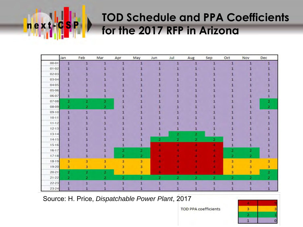# next

#### **TOD Schedule and PPA Coefficients for the 2017 RFP in Arizona**

|           | Jan                     | Feb | Mar | Apr | May          | Jun                     | Jul                     | Aug          | Sep          | Oct            | Nov | Dec |
|-----------|-------------------------|-----|-----|-----|--------------|-------------------------|-------------------------|--------------|--------------|----------------|-----|-----|
| 00-01     | $\mathbf{1}$            | 1   | 1   | ٦   | 1            | $\overline{1}$          | 1                       |              | 1            | $\mathbf{1}$   | п   |     |
| 01-02     |                         |     |     |     |              |                         |                         |              |              |                |     |     |
| 02-03     |                         |     |     |     |              |                         |                         |              |              |                |     |     |
| 03-04     |                         |     |     |     |              |                         |                         |              |              |                |     |     |
| 04-05     |                         |     |     |     |              |                         |                         |              |              |                |     |     |
| 05-06     |                         |     |     |     |              |                         |                         |              |              |                |     |     |
| 06-07     | 1                       |     |     |     |              |                         |                         |              |              |                |     |     |
| 07-08     | 2                       | 2   | 2   |     |              |                         |                         |              |              |                |     |     |
| 08-09     | 2                       | 2   | 2   |     |              |                         |                         |              |              |                |     |     |
| $09-10$   | 1                       | 1   |     |     |              |                         |                         |              |              |                |     |     |
| $10 - 11$ |                         |     |     |     |              |                         |                         |              |              |                |     |     |
| $11 - 12$ |                         |     |     |     |              |                         |                         |              |              |                |     |     |
| $12 - 13$ |                         |     |     |     |              |                         |                         |              |              |                |     |     |
| $13 - 14$ |                         |     |     |     |              |                         | 2                       | 2            |              |                |     |     |
| $14 - 15$ |                         |     |     |     |              | 2                       | 2                       | 2            | 2            |                |     |     |
| $15-16$   |                         |     |     |     |              |                         |                         |              |              |                |     |     |
| $16-17$   |                         |     |     | 2   | 2            |                         |                         |              |              | 2              | 2   |     |
| $17-18$   |                         |     |     | 2   | $\mathbf{z}$ |                         |                         |              |              | $\overline{2}$ | 2   |     |
| 18-19     | з                       | 3   | 3   | 3   | 3            |                         |                         |              |              | 3              | 3   | 3   |
| 19-20     | з.                      | з   | 3   | 3   | 3.           |                         |                         |              |              | 3              | 3   | з   |
| $20 - 21$ | 2                       | 2   | 2   | 3   | 3            |                         |                         |              |              | з              | з   | 2   |
| $21 - 22$ | $\overline{\mathbf{2}}$ | 2   | 2   | 2   | 2            | $\overline{\mathbf{2}}$ | $\overline{\mathbf{2}}$ | $\mathbf{2}$ | $\mathbf{z}$ | $\mathbf{2}$   | 2   | 2   |
| $22 - 23$ | 1                       | 1   | 1   |     |              | 1                       | п                       | 1            | 1            | 1              |     |     |
| $23 - 24$ |                         |     |     |     |              |                         |                         |              |              |                |     |     |

Source: H. Price, *Dispatchable Power Plant*, 2017

3 z 1

**TOD PPA coefficients**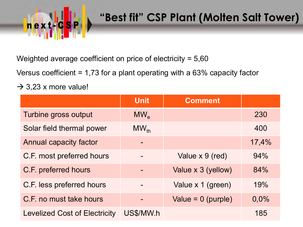

#### **"Best fit" CSP Plant (Molten Salt Tower)**

Weighted average coefficient on price of electricity = 5,60

Versus coefficient = 1,73 for a plant operating with a 63% capacity factor

 $\rightarrow$  3,23 x more value!

|                                      | <b>Unit</b> | <b>Comment</b>       |       |
|--------------------------------------|-------------|----------------------|-------|
| Turbine gross output                 | $MW_{e}$    |                      | 230   |
| Solar field thermal power            | $MW_{th}$   |                      | 400   |
| Annual capacity factor               |             |                      | 17,4% |
| C.F. most preferred hours            |             | Value x 9 (red)      | 94%   |
| C.F. preferred hours                 |             | Value x 3 (yellow)   | 84%   |
| C.F. less preferred hours            |             | Value x 1 (green)    | 19%   |
| C.F. no must take hours              |             | Value = $0$ (purple) | 0,0%  |
| <b>Levelized Cost of Electricity</b> | US\$/MW.h   |                      | 185   |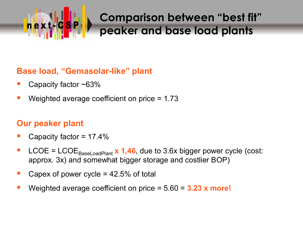# next

#### **Comparison between "best fit" peaker and base load plants**

#### **Base load, "Gemasolar-like" plant**

- Capacity factor ~63%
- Weighted average coefficient on price = 1.73

#### **Our peaker plant**

- Capacity factor = 17.4%
- LCOE =  $\text{LCOE}_{\text{BaseLoadPlant}} \times 1,46$ , due to 3.6x bigger power cycle (cost: approx. 3x) and somewhat bigger storage and costlier BOP)
- Capex of power cycle =  $42.5\%$  of total
- Weighted average coefficient on price = 5.60 = **3.23 x more!**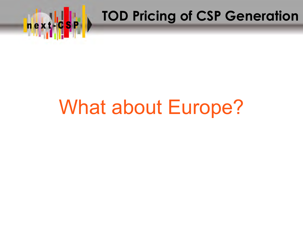

## **TOD Pricing of CSP Generation**

### What about Europe?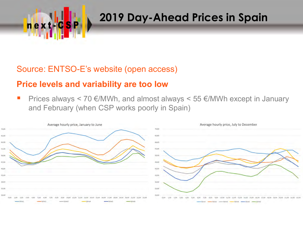

#### **2019 Day-Ahead Prices in Spain**

#### Source: ENTSO-E's website (open access)

#### **Price levels and variability are too low**

Prices always  $\leq$  70 €/MWh, and almost always  $\leq$  55 €/MWh except in January and February (when CSP works poorly in Spain)

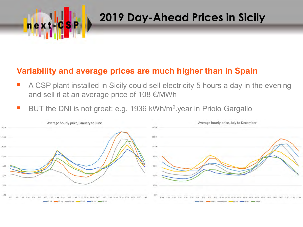

#### **2019 Day-Ahead Prices in Sicily**

#### **Variability and average prices are much higher than in Spain**

- A CSP plant installed in Sicily could sell electricity 5 hours a day in the evening and sell it at an average price of 108 €/MWh
- BUT the DNI is not great: e.g. 1936 kWh/m<sup>2</sup>.year in Priolo Gargallo